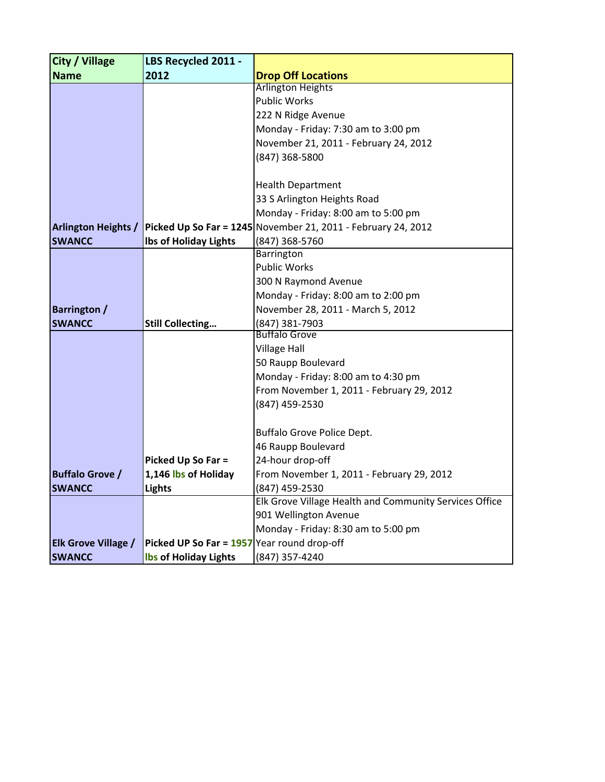| <b>City / Village</b>      | LBS Recycled 2011 -                         |                                                                 |  |  |
|----------------------------|---------------------------------------------|-----------------------------------------------------------------|--|--|
| <b>Name</b>                | 2012                                        | <b>Drop Off Locations</b>                                       |  |  |
|                            |                                             | <b>Arlington Heights</b>                                        |  |  |
|                            |                                             | <b>Public Works</b>                                             |  |  |
|                            |                                             | 222 N Ridge Avenue                                              |  |  |
|                            |                                             | Monday - Friday: 7:30 am to 3:00 pm                             |  |  |
|                            |                                             | November 21, 2011 - February 24, 2012                           |  |  |
|                            |                                             | (847) 368-5800                                                  |  |  |
|                            |                                             |                                                                 |  |  |
|                            |                                             | <b>Health Department</b>                                        |  |  |
|                            |                                             | 33 S Arlington Heights Road                                     |  |  |
|                            |                                             | Monday - Friday: 8:00 am to 5:00 pm                             |  |  |
| <b>Arlington Heights /</b> |                                             | Picked Up So Far = $1245$ November 21, 2011 - February 24, 2012 |  |  |
| <b>SWANCC</b>              | Ibs of Holiday Lights                       | (847) 368-5760                                                  |  |  |
|                            |                                             | Barrington                                                      |  |  |
|                            |                                             | <b>Public Works</b>                                             |  |  |
|                            |                                             | 300 N Raymond Avenue                                            |  |  |
|                            |                                             | Monday - Friday: 8:00 am to 2:00 pm                             |  |  |
| <b>Barrington /</b>        |                                             | November 28, 2011 - March 5, 2012                               |  |  |
| <b>SWANCC</b>              | <b>Still Collecting</b>                     | (847) 381-7903                                                  |  |  |
|                            |                                             | <b>Buffalo Grove</b>                                            |  |  |
|                            |                                             | <b>Village Hall</b>                                             |  |  |
|                            |                                             | 50 Raupp Boulevard                                              |  |  |
|                            |                                             | Monday - Friday: 8:00 am to 4:30 pm                             |  |  |
|                            |                                             | From November 1, 2011 - February 29, 2012                       |  |  |
|                            |                                             | (847) 459-2530                                                  |  |  |
|                            |                                             |                                                                 |  |  |
|                            |                                             | Buffalo Grove Police Dept.                                      |  |  |
|                            |                                             | 46 Raupp Boulevard                                              |  |  |
|                            | Picked Up So Far =                          | 24-hour drop-off                                                |  |  |
| <b>Buffalo Grove /</b>     | 1,146 lbs of Holiday                        | From November 1, 2011 - February 29, 2012                       |  |  |
| <b>SWANCC</b>              | <b>Lights</b>                               | (847) 459-2530                                                  |  |  |
|                            |                                             | Elk Grove Village Health and Community Services Office          |  |  |
|                            |                                             | 901 Wellington Avenue                                           |  |  |
|                            |                                             | Monday - Friday: 8:30 am to 5:00 pm                             |  |  |
| <b>Elk Grove Village /</b> | Picked UP So Far = 1957 Year round drop-off |                                                                 |  |  |
| <b>SWANCC</b>              | <b>Ibs of Holiday Lights</b>                | (847) 357-4240                                                  |  |  |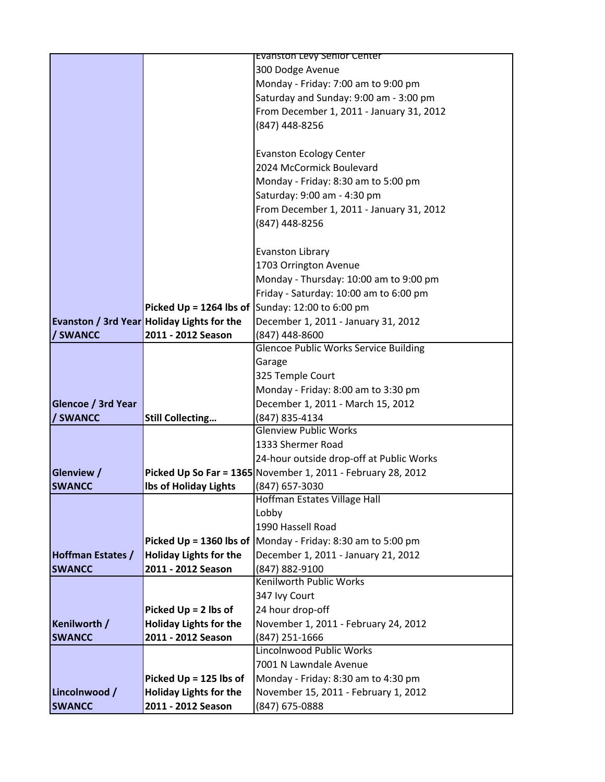|                           |                                                   | <b>EVANSTON LEVY SENIOR CENTER</b>                                  |  |  |
|---------------------------|---------------------------------------------------|---------------------------------------------------------------------|--|--|
|                           |                                                   | 300 Dodge Avenue                                                    |  |  |
|                           |                                                   | Monday - Friday: 7:00 am to 9:00 pm                                 |  |  |
|                           |                                                   | Saturday and Sunday: 9:00 am - 3:00 pm                              |  |  |
|                           |                                                   | From December 1, 2011 - January 31, 2012                            |  |  |
|                           |                                                   | (847) 448-8256                                                      |  |  |
|                           |                                                   |                                                                     |  |  |
|                           |                                                   | <b>Evanston Ecology Center</b>                                      |  |  |
|                           |                                                   | 2024 McCormick Boulevard                                            |  |  |
|                           |                                                   | Monday - Friday: 8:30 am to 5:00 pm                                 |  |  |
|                           |                                                   | Saturday: 9:00 am - 4:30 pm                                         |  |  |
|                           |                                                   | From December 1, 2011 - January 31, 2012                            |  |  |
|                           |                                                   | (847) 448-8256                                                      |  |  |
|                           |                                                   |                                                                     |  |  |
|                           |                                                   | <b>Evanston Library</b>                                             |  |  |
|                           |                                                   | 1703 Orrington Avenue                                               |  |  |
|                           |                                                   | Monday - Thursday: 10:00 am to 9:00 pm                              |  |  |
|                           |                                                   | Friday - Saturday: 10:00 am to 6:00 pm                              |  |  |
|                           |                                                   | <b>Picked Up = 1264 lbs of  Sunday: 12:00 to 6:00 pm</b>            |  |  |
|                           | <b>Evanston / 3rd Year Holiday Lights for the</b> | December 1, 2011 - January 31, 2012                                 |  |  |
| / SWANCC                  | 2011 - 2012 Season                                | (847) 448-8600                                                      |  |  |
|                           |                                                   | <b>Glencoe Public Works Service Building</b>                        |  |  |
|                           |                                                   | Garage                                                              |  |  |
|                           |                                                   | 325 Temple Court                                                    |  |  |
|                           |                                                   | Monday - Friday: 8:00 am to 3:30 pm                                 |  |  |
| <b>Glencoe / 3rd Year</b> |                                                   | December 1, 2011 - March 15, 2012                                   |  |  |
| / SWANCC                  | <b>Still Collecting</b>                           | (847) 835-4134                                                      |  |  |
|                           |                                                   | <b>Glenview Public Works</b>                                        |  |  |
|                           |                                                   | 1333 Shermer Road                                                   |  |  |
|                           |                                                   | 24-hour outside drop-off at Public Works                            |  |  |
| Glenview /                |                                                   | Picked Up So Far = $1365$ November 1, 2011 - February 28, 2012      |  |  |
| <b>SWANCC</b>             | <b>Ibs of Holiday Lights</b>                      | (847) 657-3030                                                      |  |  |
|                           |                                                   | Hoffman Estates Village Hall                                        |  |  |
|                           |                                                   | Lobby                                                               |  |  |
|                           |                                                   | 1990 Hassell Road                                                   |  |  |
|                           |                                                   | Picked Up = 1360 lbs of $\vert$ Monday - Friday: 8:30 am to 5:00 pm |  |  |
| <b>Hoffman Estates /</b>  | <b>Holiday Lights for the</b>                     | December 1, 2011 - January 21, 2012                                 |  |  |
| <b>SWANCC</b>             | 2011 - 2012 Season                                | (847) 882-9100                                                      |  |  |
|                           |                                                   | Kenilworth Public Works                                             |  |  |
|                           |                                                   | 347 Ivy Court                                                       |  |  |
|                           | Picked Up = 2 lbs of                              | 24 hour drop-off                                                    |  |  |
| Kenilworth /              | <b>Holiday Lights for the</b>                     | November 1, 2011 - February 24, 2012                                |  |  |
| <b>SWANCC</b>             | 2011 - 2012 Season                                | (847) 251-1666                                                      |  |  |
|                           |                                                   | Lincolnwood Public Works                                            |  |  |
|                           |                                                   | 7001 N Lawndale Avenue                                              |  |  |
|                           | Picked $Up = 125$ lbs of                          | Monday - Friday: 8:30 am to 4:30 pm                                 |  |  |
| Lincolnwood /             | <b>Holiday Lights for the</b>                     | November 15, 2011 - February 1, 2012                                |  |  |
| <b>SWANCC</b>             | 2011 - 2012 Season                                | (847) 675-0888                                                      |  |  |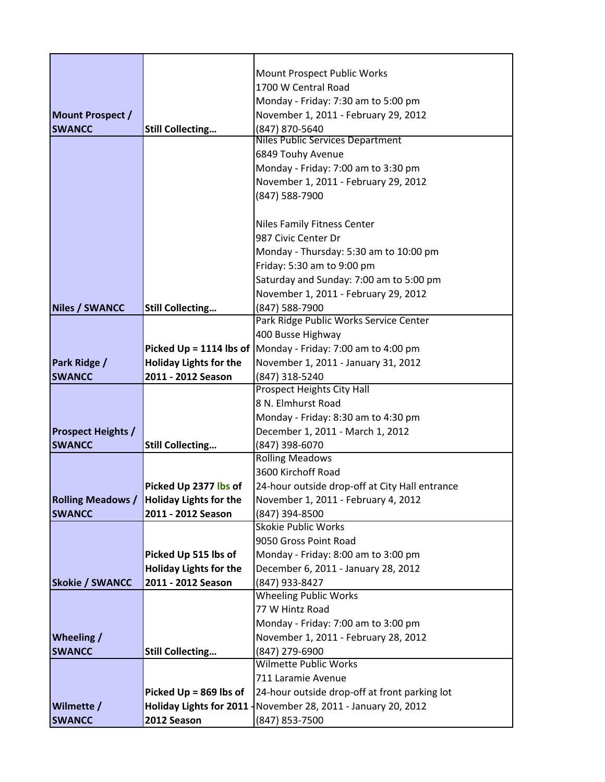|                               |                                                     | Mount Prospect Public Works                                         |  |  |
|-------------------------------|-----------------------------------------------------|---------------------------------------------------------------------|--|--|
|                               |                                                     | 1700 W Central Road                                                 |  |  |
|                               |                                                     | Monday - Friday: 7:30 am to 5:00 pm                                 |  |  |
| Mount Prospect /              |                                                     | November 1, 2011 - February 29, 2012                                |  |  |
| <b>SWANCC</b>                 | <b>Still Collecting</b>                             | (847) 870-5640                                                      |  |  |
|                               |                                                     | <b>Niles Public Services Department</b>                             |  |  |
|                               |                                                     | 6849 Touhy Avenue                                                   |  |  |
|                               |                                                     | Monday - Friday: 7:00 am to 3:30 pm                                 |  |  |
|                               |                                                     | November 1, 2011 - February 29, 2012                                |  |  |
|                               |                                                     | (847) 588-7900                                                      |  |  |
|                               |                                                     |                                                                     |  |  |
|                               |                                                     | Niles Family Fitness Center                                         |  |  |
|                               |                                                     | 987 Civic Center Dr                                                 |  |  |
|                               |                                                     | Monday - Thursday: 5:30 am to 10:00 pm                              |  |  |
|                               |                                                     | Friday: 5:30 am to 9:00 pm                                          |  |  |
|                               |                                                     | Saturday and Sunday: 7:00 am to 5:00 pm                             |  |  |
|                               |                                                     | November 1, 2011 - February 29, 2012                                |  |  |
| <b>Niles / SWANCC</b>         | <b>Still Collecting</b>                             | (847) 588-7900                                                      |  |  |
|                               |                                                     | Park Ridge Public Works Service Center                              |  |  |
|                               |                                                     | 400 Busse Highway                                                   |  |  |
|                               |                                                     | Picked Up = 1114 lbs of $\vert$ Monday - Friday: 7:00 am to 4:00 pm |  |  |
| Park Ridge /<br><b>SWANCC</b> | <b>Holiday Lights for the</b><br>2011 - 2012 Season | November 1, 2011 - January 31, 2012                                 |  |  |
|                               |                                                     | (847) 318-5240<br>Prospect Heights City Hall                        |  |  |
|                               |                                                     | 8 N. Elmhurst Road                                                  |  |  |
|                               |                                                     | Monday - Friday: 8:30 am to 4:30 pm                                 |  |  |
| <b>Prospect Heights /</b>     |                                                     | December 1, 2011 - March 1, 2012                                    |  |  |
| <b>SWANCC</b>                 | <b>Still Collecting</b>                             | (847) 398-6070                                                      |  |  |
|                               |                                                     | <b>Rolling Meadows</b>                                              |  |  |
|                               |                                                     | 3600 Kirchoff Road                                                  |  |  |
|                               | Picked Up 2377 lbs of                               | 24-hour outside drop-off at City Hall entrance                      |  |  |
|                               | Rolling Meadows / Holiday Lights for the            | November 1, 2011 - February 4, 2012                                 |  |  |
| <b>SWANCC</b>                 | 2011 - 2012 Season                                  | (847) 394-8500                                                      |  |  |
|                               |                                                     | <b>Skokie Public Works</b>                                          |  |  |
|                               |                                                     | 9050 Gross Point Road                                               |  |  |
|                               | Picked Up 515 lbs of                                | Monday - Friday: 8:00 am to 3:00 pm                                 |  |  |
|                               | <b>Holiday Lights for the</b>                       | December 6, 2011 - January 28, 2012                                 |  |  |
| <b>Skokie / SWANCC</b>        | 2011 - 2012 Season                                  | (847) 933-8427                                                      |  |  |
|                               |                                                     | <b>Wheeling Public Works</b>                                        |  |  |
|                               |                                                     | 77 W Hintz Road                                                     |  |  |
|                               |                                                     | Monday - Friday: 7:00 am to 3:00 pm                                 |  |  |
| <b>Wheeling /</b>             |                                                     | November 1, 2011 - February 28, 2012                                |  |  |
| <b>SWANCC</b>                 | <b>Still Collecting</b>                             | (847) 279-6900                                                      |  |  |
|                               |                                                     | <b>Wilmette Public Works</b>                                        |  |  |
|                               |                                                     | 711 Laramie Avenue                                                  |  |  |
|                               | Picked $Up = 869$ lbs of                            | 24-hour outside drop-off at front parking lot                       |  |  |
| Wilmette /<br><b>SWANCC</b>   | 2012 Season                                         | Holiday Lights for 2011   November 28, 2011 - January 20, 2012      |  |  |
|                               |                                                     | (847) 853-7500                                                      |  |  |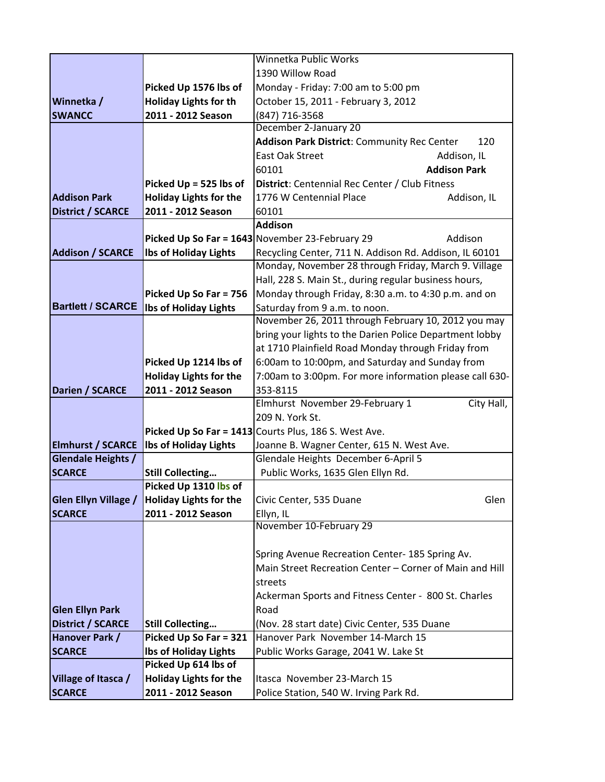|                          |                               | Winnetka Public Works                                      |  |  |
|--------------------------|-------------------------------|------------------------------------------------------------|--|--|
|                          |                               | 1390 Willow Road                                           |  |  |
|                          | Picked Up 1576 lbs of         | Monday - Friday: 7:00 am to 5:00 pm                        |  |  |
| <b>Winnetka</b> /        | <b>Holiday Lights for th</b>  | October 15, 2011 - February 3, 2012                        |  |  |
| <b>SWANCC</b>            | 2011 - 2012 Season            | (847) 716-3568                                             |  |  |
|                          |                               | December 2-January 20                                      |  |  |
|                          |                               | Addison Park District: Community Rec Center<br>120         |  |  |
|                          |                               | East Oak Street<br>Addison, IL                             |  |  |
|                          |                               | 60101<br><b>Addison Park</b>                               |  |  |
|                          | Picked $Up = 525$ lbs of      | District: Centennial Rec Center / Club Fitness             |  |  |
| <b>Addison Park</b>      | <b>Holiday Lights for the</b> | 1776 W Centennial Place<br>Addison, IL                     |  |  |
| <b>District / SCARCE</b> | 2011 - 2012 Season            | 60101                                                      |  |  |
|                          |                               | <b>Addison</b>                                             |  |  |
|                          |                               | Picked Up So Far = 1643 November 23-February 29<br>Addison |  |  |
| <b>Addison / SCARCE</b>  | <b>Ibs of Holiday Lights</b>  | Recycling Center, 711 N. Addison Rd. Addison, IL 60101     |  |  |
|                          |                               | Monday, November 28 through Friday, March 9. Village       |  |  |
|                          |                               | Hall, 228 S. Main St., during regular business hours,      |  |  |
|                          | Picked Up So Far = 756        | Monday through Friday, 8:30 a.m. to 4:30 p.m. and on       |  |  |
| <b>Bartlett / SCARCE</b> | <b>Ibs of Holiday Lights</b>  | Saturday from 9 a.m. to noon.                              |  |  |
|                          |                               | November 26, 2011 through February 10, 2012 you may        |  |  |
|                          |                               | bring your lights to the Darien Police Department lobby    |  |  |
|                          |                               | at 1710 Plainfield Road Monday through Friday from         |  |  |
|                          | Picked Up 1214 lbs of         | 6:00am to 10:00pm, and Saturday and Sunday from            |  |  |
|                          | <b>Holiday Lights for the</b> | 7:00am to 3:00pm. For more information please call 630-    |  |  |
| Darien / SCARCE          | 2011 - 2012 Season            | 353-8115                                                   |  |  |
|                          |                               | City Hall,<br>Elmhurst November 29-February 1              |  |  |
|                          |                               | 209 N. York St.                                            |  |  |
|                          |                               | Picked Up So Far = 1413 Courts Plus, 186 S. West Ave.      |  |  |
| <b>Elmhurst / SCARCE</b> | <b>Ibs of Holiday Lights</b>  | Joanne B. Wagner Center, 615 N. West Ave.                  |  |  |
| Glendale Heights /       |                               | Glendale Heights December 6-April 5                        |  |  |
| <b>SCARCE</b>            | <b>Still Collecting</b>       | Public Works, 1635 Glen Ellyn Rd.                          |  |  |
|                          | Picked Up 1310 lbs of         |                                                            |  |  |
| Glen Ellyn Village /     | <b>Holiday Lights for the</b> | Civic Center, 535 Duane<br>Glen                            |  |  |
| <b>SCARCE</b>            | 2011 - 2012 Season            | Ellyn, IL                                                  |  |  |
|                          |                               | November 10-February 29                                    |  |  |
|                          |                               | Spring Avenue Recreation Center- 185 Spring Av.            |  |  |
|                          |                               | Main Street Recreation Center - Corner of Main and Hill    |  |  |
|                          |                               | streets                                                    |  |  |
|                          |                               |                                                            |  |  |
|                          |                               | Ackerman Sports and Fitness Center - 800 St. Charles       |  |  |
| <b>Glen Ellyn Park</b>   |                               | Road                                                       |  |  |
| <b>District / SCARCE</b> | <b>Still Collecting</b>       | (Nov. 28 start date) Civic Center, 535 Duane               |  |  |
| Hanover Park /           | Picked Up So Far = 321        | Hanover Park November 14-March 15                          |  |  |
| <b>SCARCE</b>            | <b>Ibs of Holiday Lights</b>  | Public Works Garage, 2041 W. Lake St                       |  |  |
|                          | Picked Up 614 lbs of          |                                                            |  |  |
| Village of Itasca /      | <b>Holiday Lights for the</b> | Itasca November 23-March 15                                |  |  |
| <b>SCARCE</b>            | 2011 - 2012 Season            | Police Station, 540 W. Irving Park Rd.                     |  |  |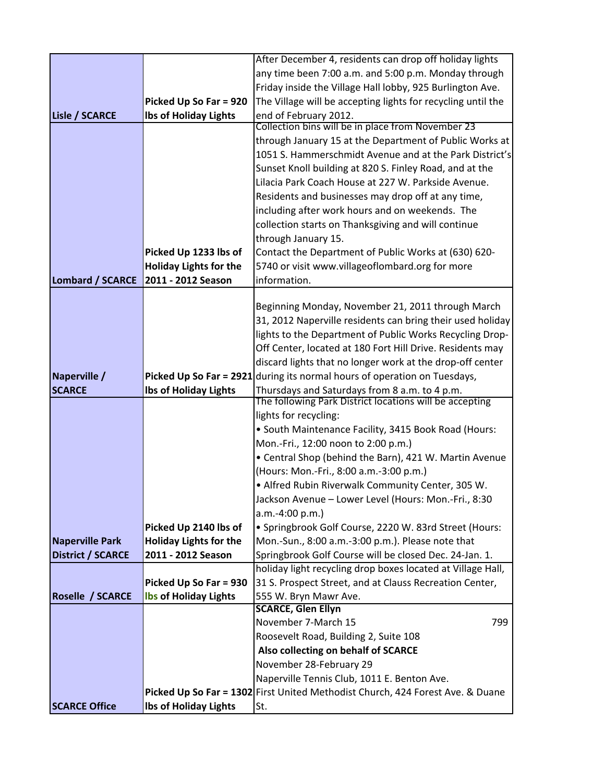|                          |                               | After December 4, residents can drop off holiday lights                                                  |
|--------------------------|-------------------------------|----------------------------------------------------------------------------------------------------------|
|                          |                               | any time been 7:00 a.m. and 5:00 p.m. Monday through                                                     |
|                          |                               | Friday inside the Village Hall lobby, 925 Burlington Ave.                                                |
|                          | Picked Up So Far = 920        | The Village will be accepting lights for recycling until the                                             |
| <b>Lisle / SCARCE</b>    | <b>Ibs of Holiday Lights</b>  | end of February 2012.                                                                                    |
|                          |                               | Collection bins will be in place from November 23                                                        |
|                          |                               | through January 15 at the Department of Public Works at                                                  |
|                          |                               | 1051 S. Hammerschmidt Avenue and at the Park District's                                                  |
|                          |                               | Sunset Knoll building at 820 S. Finley Road, and at the                                                  |
|                          |                               | Lilacia Park Coach House at 227 W. Parkside Avenue.                                                      |
|                          |                               | Residents and businesses may drop off at any time,                                                       |
|                          |                               | including after work hours and on weekends. The                                                          |
|                          |                               | collection starts on Thanksgiving and will continue                                                      |
|                          |                               | through January 15.                                                                                      |
|                          | Picked Up 1233 lbs of         | Contact the Department of Public Works at (630) 620-                                                     |
|                          | <b>Holiday Lights for the</b> | 5740 or visit www.villageoflombard.org for more                                                          |
| <b>Lombard / SCARCE</b>  | 2011 - 2012 Season            | information.                                                                                             |
|                          |                               |                                                                                                          |
|                          |                               | Beginning Monday, November 21, 2011 through March                                                        |
|                          |                               | 31, 2012 Naperville residents can bring their used holiday                                               |
|                          |                               | lights to the Department of Public Works Recycling Drop-                                                 |
|                          |                               | Off Center, located at 180 Fort Hill Drive. Residents may                                                |
|                          |                               | discard lights that no longer work at the drop-off center                                                |
| Naperville /             |                               | Picked Up So Far = 2921 during its normal hours of operation on Tuesdays,                                |
| <b>SCARCE</b>            | <b>Ibs of Holiday Lights</b>  | Thursdays and Saturdays from 8 a.m. to 4 p.m.<br>The following Park District locations will be accepting |
|                          |                               |                                                                                                          |
|                          |                               |                                                                                                          |
|                          |                               | lights for recycling:                                                                                    |
|                          |                               | • South Maintenance Facility, 3415 Book Road (Hours:                                                     |
|                          |                               | Mon.-Fri., 12:00 noon to 2:00 p.m.)                                                                      |
|                          |                               | • Central Shop (behind the Barn), 421 W. Martin Avenue                                                   |
|                          |                               | (Hours: Mon.-Fri., 8:00 a.m.-3:00 p.m.)                                                                  |
|                          |                               | . Alfred Rubin Riverwalk Community Center, 305 W.                                                        |
|                          |                               | Jackson Avenue - Lower Level (Hours: Mon.-Fri., 8:30                                                     |
|                          |                               | a.m.-4:00 p.m.)                                                                                          |
|                          | Picked Up 2140 lbs of         | · Springbrook Golf Course, 2220 W. 83rd Street (Hours:                                                   |
| <b>Naperville Park</b>   | <b>Holiday Lights for the</b> | Mon.-Sun., 8:00 a.m.-3:00 p.m.). Please note that                                                        |
| <b>District / SCARCE</b> | 2011 - 2012 Season            | Springbrook Golf Course will be closed Dec. 24-Jan. 1.                                                   |
|                          |                               | holiday light recycling drop boxes located at Village Hall,                                              |
|                          | Picked Up So Far = 930        | 31 S. Prospect Street, and at Clauss Recreation Center,                                                  |
| Roselle / SCARCE         | <b>Ibs of Holiday Lights</b>  | 555 W. Bryn Mawr Ave.<br><b>SCARCE, Glen Ellyn</b>                                                       |
|                          |                               | November 7-March 15<br>799                                                                               |
|                          |                               | Roosevelt Road, Building 2, Suite 108                                                                    |
|                          |                               | Also collecting on behalf of SCARCE                                                                      |
|                          |                               | November 28-February 29                                                                                  |
|                          |                               | Naperville Tennis Club, 1011 E. Benton Ave.                                                              |
|                          |                               | Picked Up So Far = 1302 First United Methodist Church, 424 Forest Ave. & Duane                           |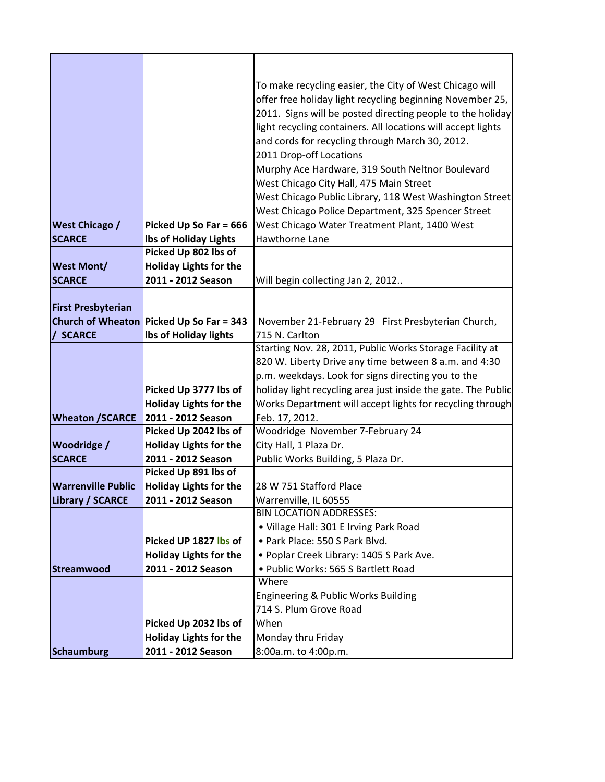|                                                       |                                                        | To make recycling easier, the City of West Chicago will                    |
|-------------------------------------------------------|--------------------------------------------------------|----------------------------------------------------------------------------|
|                                                       |                                                        | offer free holiday light recycling beginning November 25,                  |
|                                                       |                                                        | 2011. Signs will be posted directing people to the holiday                 |
|                                                       |                                                        | light recycling containers. All locations will accept lights               |
|                                                       |                                                        | and cords for recycling through March 30, 2012.                            |
|                                                       |                                                        | 2011 Drop-off Locations                                                    |
|                                                       |                                                        | Murphy Ace Hardware, 319 South Neltnor Boulevard                           |
|                                                       |                                                        | West Chicago City Hall, 475 Main Street                                    |
|                                                       |                                                        | West Chicago Public Library, 118 West Washington Street                    |
|                                                       |                                                        | West Chicago Police Department, 325 Spencer Street                         |
| <b>West Chicago /</b>                                 | Picked Up So Far = 666                                 | West Chicago Water Treatment Plant, 1400 West                              |
| <b>SCARCE</b>                                         | <b>Ibs of Holiday Lights</b>                           | Hawthorne Lane                                                             |
|                                                       | Picked Up 802 lbs of                                   |                                                                            |
| <b>West Mont/</b>                                     | <b>Holiday Lights for the</b>                          |                                                                            |
| <b>SCARCE</b>                                         | 2011 - 2012 Season                                     | Will begin collecting Jan 2, 2012                                          |
|                                                       |                                                        |                                                                            |
| <b>First Presbyterian</b><br><b>Church of Wheaton</b> |                                                        | November 21-February 29 First Presbyterian Church,                         |
| / SCARCE                                              | Picked Up So Far = 343<br>Ibs of Holiday lights        | 715 N. Carlton                                                             |
|                                                       |                                                        | Starting Nov. 28, 2011, Public Works Storage Facility at                   |
|                                                       |                                                        | 820 W. Liberty Drive any time between 8 a.m. and 4:30                      |
|                                                       |                                                        | p.m. weekdays. Look for signs directing you to the                         |
|                                                       | Picked Up 3777 lbs of                                  | holiday light recycling area just inside the gate. The Public              |
|                                                       | <b>Holiday Lights for the</b>                          | Works Department will accept lights for recycling through                  |
| <b>Wheaton /SCARCE</b>                                | 2011 - 2012 Season                                     | Feb. 17, 2012.                                                             |
|                                                       | Picked Up 2042 lbs of                                  | Woodridge November 7-February 24                                           |
| <b>Woodridge /</b>                                    | <b>Holiday Lights for the</b>                          | City Hall, 1 Plaza Dr.                                                     |
| <b>SCARCE</b>                                         | 2011 - 2012 Season                                     | Public Works Building, 5 Plaza Dr.                                         |
|                                                       | Picked Up 891 lbs of                                   |                                                                            |
| <b>Warrenville Public</b>                             | <b>Holiday Lights for the</b>                          | 28 W 751 Stafford Place                                                    |
| Library / SCARCE                                      | 2011 - 2012 Season                                     | Warrenville, IL 60555                                                      |
|                                                       |                                                        | <b>BIN LOCATION ADDRESSES:</b>                                             |
|                                                       |                                                        | • Village Hall: 301 E Irving Park Road                                     |
|                                                       | Picked UP 1827 lbs of<br><b>Holiday Lights for the</b> | · Park Place: 550 S Park Blvd.<br>· Poplar Creek Library: 1405 S Park Ave. |
| <b>Streamwood</b>                                     | 2011 - 2012 Season                                     | · Public Works: 565 S Bartlett Road                                        |
|                                                       |                                                        | Where                                                                      |
|                                                       |                                                        | Engineering & Public Works Building                                        |
|                                                       |                                                        | 714 S. Plum Grove Road                                                     |
|                                                       | Picked Up 2032 lbs of                                  | When                                                                       |
|                                                       | <b>Holiday Lights for the</b>                          | Monday thru Friday                                                         |
| Schaumburg                                            | 2011 - 2012 Season                                     | 8:00a.m. to 4:00p.m.                                                       |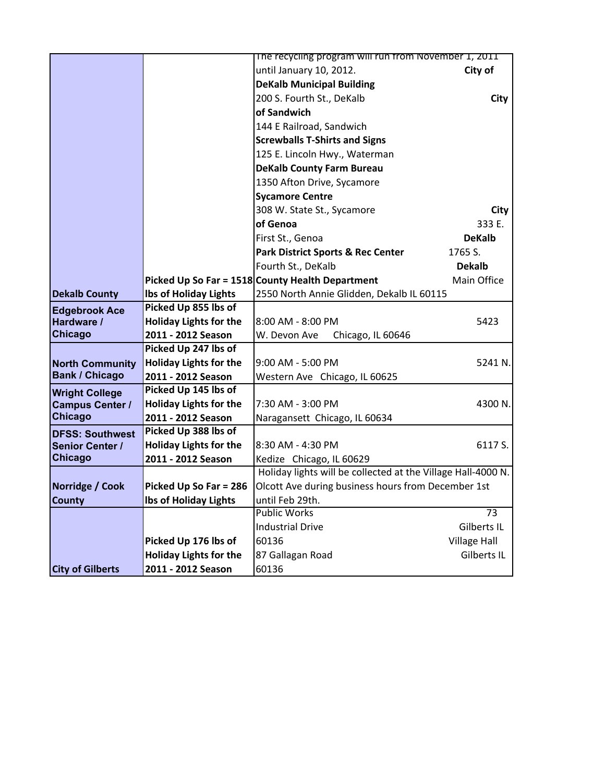|                         |                               | The recycling program will run from November 1, 2011         |                     |
|-------------------------|-------------------------------|--------------------------------------------------------------|---------------------|
|                         |                               | until January 10, 2012.                                      | City of             |
|                         |                               | <b>DeKalb Municipal Building</b>                             |                     |
|                         |                               | 200 S. Fourth St., DeKalb                                    | City                |
|                         |                               | of Sandwich                                                  |                     |
|                         |                               | 144 E Railroad, Sandwich                                     |                     |
|                         |                               | <b>Screwballs T-Shirts and Signs</b>                         |                     |
|                         |                               | 125 E. Lincoln Hwy., Waterman                                |                     |
|                         |                               | <b>DeKalb County Farm Bureau</b>                             |                     |
|                         |                               | 1350 Afton Drive, Sycamore                                   |                     |
|                         |                               | <b>Sycamore Centre</b>                                       |                     |
|                         |                               | 308 W. State St., Sycamore                                   | City                |
|                         |                               | of Genoa                                                     | 333 E.              |
|                         |                               | First St., Genoa                                             | <b>DeKalb</b>       |
|                         |                               | <b>Park District Sports &amp; Rec Center</b>                 | 1765 S.             |
|                         |                               | Fourth St., DeKalb                                           | <b>Dekalb</b>       |
|                         |                               | Picked Up So Far = 1518 County Health Department             | Main Office         |
| <b>Dekalb County</b>    | <b>Ibs of Holiday Lights</b>  | 2550 North Annie Glidden, Dekalb IL 60115                    |                     |
| <b>Edgebrook Ace</b>    | Picked Up 855 lbs of          |                                                              |                     |
| Hardware /              | <b>Holiday Lights for the</b> | 8:00 AM - 8:00 PM                                            | 5423                |
| <b>Chicago</b>          | 2011 - 2012 Season            | W. Devon Ave<br>Chicago, IL 60646                            |                     |
|                         | Picked Up 247 lbs of          |                                                              |                     |
| <b>North Community</b>  | <b>Holiday Lights for the</b> | 9:00 AM - 5:00 PM                                            | 5241 N.             |
| <b>Bank / Chicago</b>   | 2011 - 2012 Season            | Western Ave Chicago, IL 60625                                |                     |
| <b>Wright College</b>   | Picked Up 145 lbs of          |                                                              |                     |
| <b>Campus Center /</b>  | <b>Holiday Lights for the</b> | 7:30 AM - 3:00 PM                                            | 4300 N.             |
| <b>Chicago</b>          | 2011 - 2012 Season            | Naragansett Chicago, IL 60634                                |                     |
| <b>DFSS: Southwest</b>  | Picked Up 388 lbs of          |                                                              |                     |
| Senior Center /         | <b>Holiday Lights for the</b> | 8:30 AM - 4:30 PM                                            | 6117 S.             |
| <b>Chicago</b>          | 2011 - 2012 Season            | Kedize Chicago, IL 60629                                     |                     |
|                         |                               | Holiday lights will be collected at the Village Hall-4000 N. |                     |
| Norridge / Cook         | Picked Up So Far = 286        | Olcott Ave during business hours from December 1st           |                     |
| <b>County</b>           | <b>Ibs of Holiday Lights</b>  | until Feb 29th.                                              |                     |
|                         |                               | <b>Public Works</b>                                          | $\overline{73}$     |
|                         |                               | <b>Industrial Drive</b>                                      | Gilberts IL         |
|                         | Picked Up 176 lbs of          | 60136                                                        | <b>Village Hall</b> |
|                         | <b>Holiday Lights for the</b> | 87 Gallagan Road                                             | Gilberts IL         |
| <b>City of Gilberts</b> | 2011 - 2012 Season            | 60136                                                        |                     |